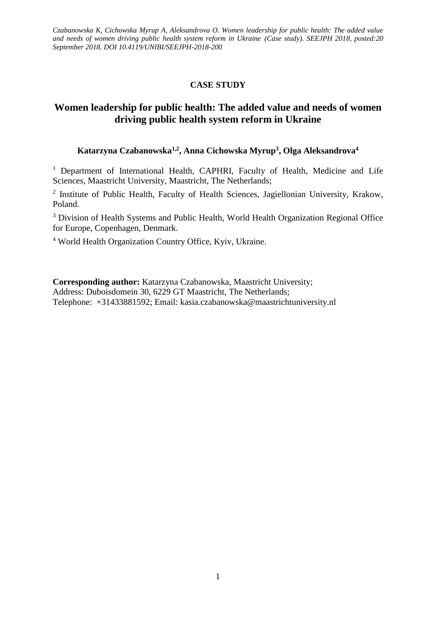# **CASE STUDY**

# **Women leadership for public health: The added value and needs of women driving public health system reform in Ukraine**

# **Katarzyna Czabanowska1,2, Anna Cichowska Myrup<sup>3</sup> , Olga Aleksandrova<sup>4</sup>**

<sup>1</sup> Department of International Health, CAPHRI, Faculty of Health, Medicine and Life Sciences, Maastricht University, Maastricht, The Netherlands;

<sup>2</sup> Institute of Public Health, Faculty of Health Sciences, Jagiellonian University, Krakow, Poland.

<sup>3</sup> Division of Health Systems and Public Health, World Health Organization Regional Office for Europe, Copenhagen, Denmark.

<sup>4</sup> World Health Organization Country Office, Kyiv, Ukraine.

**Corresponding author:** Katarzyna Czabanowska, Maastricht University; Address: Duboisdomein 30, 6229 GT Maastricht, The Netherlands; Telephone: +31433881592; Email: kasia.czabanowska@maastrichtuniversity.nl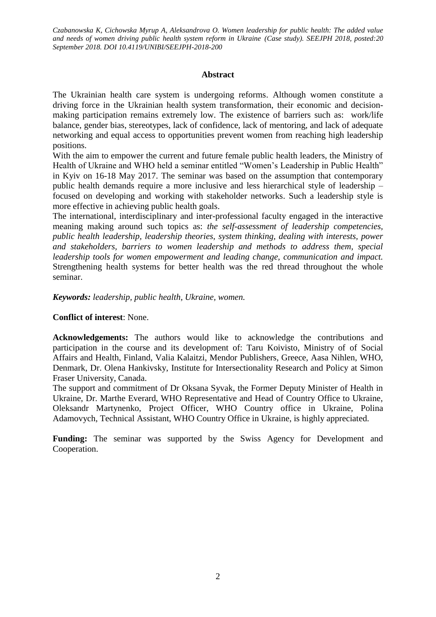### **Abstract**

The Ukrainian health care system is undergoing reforms. Although women constitute a driving force in the Ukrainian health system transformation, their economic and decisionmaking participation remains extremely low. The existence of barriers such as: work/life balance, gender bias, stereotypes, lack of confidence, lack of mentoring, and lack of adequate networking and equal access to opportunities prevent women from reaching high leadership positions.

With the aim to empower the current and future female public health leaders, the Ministry of Health of Ukraine and WHO held a seminar entitled "Women's Leadership in Public Health" in Kyiv on 16-18 May 2017. The seminar was based on the assumption that contemporary public health demands require a more inclusive and less hierarchical style of leadership – focused on developing and working with stakeholder networks. Such a leadership style is more effective in achieving public health goals.

The international, interdisciplinary and inter-professional faculty engaged in the interactive meaning making around such topics as: *the self-assessment of leadership competencies, public health leadership, leadership theories, system thinking, dealing with interests, power and stakeholders, barriers to women leadership and methods to address them, special leadership tools for women empowerment and leading change, communication and impact.* Strengthening health systems for better health was the red thread throughout the whole seminar.

*Keywords: leadership, public health, Ukraine, women.* 

### **Conflict of interest**: None.

**Acknowledgements:** The authors would like to acknowledge the contributions and participation in the course and its development of: Taru Koivisto, Ministry of of Social Affairs and Health, Finland, Valia Kalaitzi, Mendor Publishers, Greece, Aasa Nihlen, WHO, Denmark, Dr. Olena Hankivsky, Institute for Intersectionality Research and Policy at Simon Fraser University, Canada.

The support and commitment of Dr Oksana Syvak, the Former Deputy Minister of Health in Ukraine, Dr. Marthe Everard, WHO Representative and Head of Country Office to Ukraine, Oleksandr Martynenko, Project Officer, WHO Country office in Ukraine, Polina Adamovych, Technical Assistant, WHO Country Office in Ukraine, is highly appreciated.

Funding: The seminar was supported by the Swiss Agency for Development and Cooperation.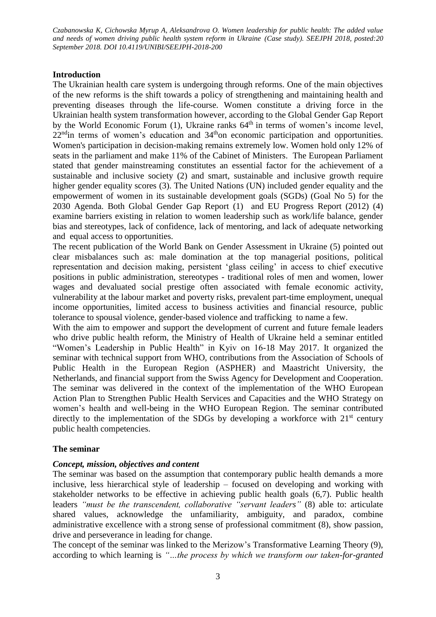### **Introduction**

The Ukrainian health care system is undergoing through reforms. One of the main objectives of the new reforms is the shift towards a policy of strengthening and maintaining health and preventing diseases through the life-course. Women constitute a driving force in the Ukrainian health system transformation however, according to the Global Gender Gap Report by the World Economic Forum  $(1)$ , Ukraine ranks  $64<sup>th</sup>$  in terms of women's income level, 22<sup>nd</sup>in terms of women's education and 34<sup>th</sup>on economic participation and opportunities. Women's participation in decision-making remains extremely low. Women hold only 12% of seats in the parliament and make 11% of the Cabinet of Ministers. The European Parliament stated that gender mainstreaming constitutes an essential factor for the achievement of a sustainable and inclusive society (2) and smart, sustainable and inclusive growth require higher gender equality scores (3). The United Nations (UN) included gender equality and the empowerment of women in its sustainable development goals (SGDs) (Goal No 5) for the 2030 Agenda. Both Global Gender Gap Report (1) and EU Progress Report (2012) (4) examine barriers existing in relation to women leadership such as work/life balance, gender bias and stereotypes, lack of confidence, lack of mentoring, and lack of adequate networking and equal access to opportunities.

The recent publication of the World Bank on Gender Assessment in Ukraine (5) pointed out clear misbalances such as: male domination at the top managerial positions, political representation and decision making, persistent 'glass ceiling' in access to chief executive positions in public administration, stereotypes - traditional roles of men and women, lower wages and devaluated social prestige often associated with female economic activity, vulnerability at the labour market and poverty risks, prevalent part-time employment, unequal income opportunities, limited access to business activities and financial resource, public tolerance to spousal violence, gender-based violence and trafficking to name a few.

With the aim to empower and support the development of current and future female leaders who drive public health reform, the Ministry of Health of Ukraine held a seminar entitled "Women's Leadership in Public Health" in Kyiv on 16-18 May 2017. It organized the seminar with technical support from WHO, contributions from the Association of Schools of Public Health in the European Region (ASPHER) and Maastricht University, the Netherlands, and financial support from the Swiss Agency for Development and Cooperation. The seminar was delivered in the context of the implementation of the WHO European Action Plan to Strengthen Public Health Services and Capacities and the WHO Strategy on women's health and well-being in the WHO European Region. The seminar contributed directly to the implementation of the SDGs by developing a workforce with  $21<sup>st</sup>$  century public health competencies.

### **The seminar**

### *Concept, mission, objectives and content*

The seminar was based on the assumption that contemporary public health demands a more inclusive, less hierarchical style of leadership – focused on developing and working with stakeholder networks to be effective in achieving public health goals (6,7). Public health leaders *"must be the transcendent, collaborative "servant leaders"* (8) able to: articulate shared values, acknowledge the unfamiliarity, ambiguity, and paradox, combine administrative excellence with a strong sense of professional commitment (8), show passion, drive and perseverance in leading for change.

The concept of the seminar was linked to the Merizow's Transformative Learning Theory (9), according to which learning is *"…the process by which we transform our taken-for-granted*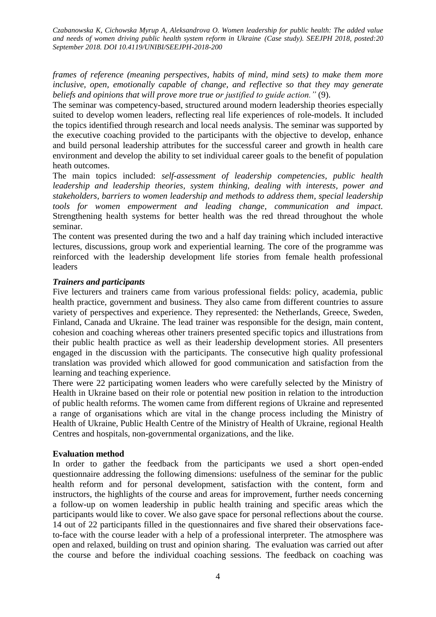*frames of reference (meaning perspectives, habits of mind, mind sets) to make them more inclusive, open, emotionally capable of change, and reflective so that they may generate beliefs and opinions that will prove more true or justified to guide action."* (9).

The seminar was competency-based, structured around modern leadership theories especially suited to develop women leaders, reflecting real life experiences of role-models. It included the topics identified through research and local needs analysis. The seminar was supported by the executive coaching provided to the participants with the objective to develop, enhance and build personal leadership attributes for the successful career and growth in health care environment and develop the ability to set individual career goals to the benefit of population heath outcomes.

The main topics included: *self-assessment of leadership competencies, public health leadership and leadership theories, system thinking, dealing with interests, power and stakeholders, barriers to women leadership and methods to address them, special leadership tools for women empowerment and leading change, communication and impact.* Strengthening health systems for better health was the red thread throughout the whole seminar.

The content was presented during the two and a half day training which included interactive lectures, discussions, group work and experiential learning. The core of the programme was reinforced with the leadership development life stories from female health professional leaders

### *Trainers and participants*

Five lecturers and trainers came from various professional fields: policy, academia, public health practice, government and business. They also came from different countries to assure variety of perspectives and experience. They represented: the Netherlands, Greece, Sweden, Finland, Canada and Ukraine. The lead trainer was responsible for the design, main content, cohesion and coaching whereas other trainers presented specific topics and illustrations from their public health practice as well as their leadership development stories. All presenters engaged in the discussion with the participants. The consecutive high quality professional translation was provided which allowed for good communication and satisfaction from the learning and teaching experience.

There were 22 participating women leaders who were carefully selected by the Ministry of Health in Ukraine based on their role or potential new position in relation to the introduction of public health reforms. The women came from different regions of Ukraine and represented a range of organisations which are vital in the change process including the Ministry of Health of Ukraine, Public Health Centre of the Ministry of Health of Ukraine, regional Health Centres and hospitals, non-governmental organizations, and the like.

#### **Evaluation method**

In order to gather the feedback from the participants we used a short open-ended questionnaire addressing the following dimensions: usefulness of the seminar for the public health reform and for personal development, satisfaction with the content, form and instructors, the highlights of the course and areas for improvement, further needs concerning a follow-up on women leadership in public health training and specific areas which the participants would like to cover. We also gave space for personal reflections about the course. 14 out of 22 participants filled in the questionnaires and five shared their observations faceto-face with the course leader with a help of a professional interpreter. The atmosphere was open and relaxed, building on trust and opinion sharing. The evaluation was carried out after the course and before the individual coaching sessions. The feedback on coaching was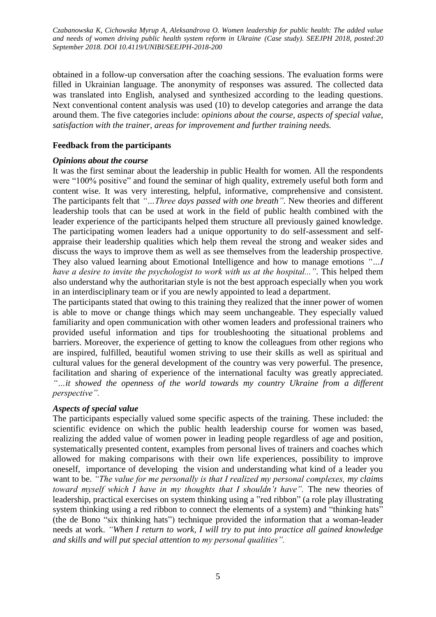obtained in a follow-up conversation after the coaching sessions. The evaluation forms were filled in Ukrainian language. The anonymity of responses was assured. The collected data was translated into English, analysed and synthesized according to the leading questions. Next conventional content analysis was used (10) to develop categories and arrange the data around them. The five categories include: *opinions about the course*, *aspects of special value, satisfaction with the trainer, areas for improvement and further training needs.*

# **Feedback from the participants**

### *Opinions about the course*

It was the first seminar about the leadership in public Health for women. All the respondents were "100% positive" and found the seminar of high quality, extremely useful both form and content wise. It was very interesting, helpful, informative, comprehensive and consistent. The participants felt that *"…Three days passed with one breath".* New theories and different leadership tools that can be used at work in the field of public health combined with the leader experience of the participants helped them structure all previously gained knowledge. The participating women leaders had a unique opportunity to do self-assessment and selfappraise their leadership qualities which help them reveal the strong and weaker sides and discuss the ways to improve them as well as see themselves from the leadership prospective. They also valued learning about Emotional Intelligence and how to manage emotions *"…I have a desire to invite the psychologist to work with us at the hospital...".* This helped them also understand why the [authoritarian](http://context.reverso.net/%D0%BF%D0%B5%D1%80%D0%B5%D0%B2%D0%BE%D0%B4/%D0%B0%D0%BD%D0%B3%D0%BB%D0%B8%D0%B9%D1%81%D0%BA%D0%B8%D0%B9-%D1%80%D1%83%D1%81%D1%81%D0%BA%D0%B8%D0%B9/authoritarian) style is not the best approach especially when you work in an interdisciplinary team or if you are newly appointed to lead a department.

The participants stated that owing to this training they realized that the inner power of women is able to move or change things which may seem unchangeable. They especially valued familiarity and open communication with other women leaders and professional trainers who provided useful information and tips for troubleshooting the situational problems and barriers. Moreover, the experience of getting to know the colleagues from other regions who are inspired, fulfilled, beautiful women striving to use their skills as well as spiritual and cultural values for the general development of the country was very powerful. The presence, facilitation and sharing of experience of the international faculty was greatly appreciated. *"…it showed the openness of the world towards my country Ukraine from a different perspective".*

# *Aspects of special value*

The participants especially valued some specific aspects of the training. These included: the [scientific evidence](http://context.reverso.net/%D0%BF%D0%B5%D1%80%D0%B5%D0%B2%D0%BE%D0%B4/%D0%B0%D0%BD%D0%B3%D0%BB%D0%B8%D0%B9%D1%81%D0%BA%D0%B8%D0%B9-%D1%80%D1%83%D1%81%D1%81%D0%BA%D0%B8%D0%B9/scientific+evidence) on which the public health leadership course for women was based, realizing the added value of women power in leading people regardless of age and position, systematically presented content, examples from personal lives of trainers and coaches which allowed for making comparisons with their own life experiences, possibility to improve oneself, importance of developing the vision and understanding what kind of a leader you want to be. *"The value for me personally is that I realized my personal complexes, my claims toward myself which I have in my thoughts that I shouldn't have".* The new theories of leadership, practical exercises on system thinking using a "red ribbon" (a role play illustrating system thinking using a red ribbon to connect the elements of a system) and "thinking hats" (the de Bono "six thinking hats") technique provided the information that a woman-leader needs at work. *"When I return to work, I will try to put into practice all gained knowledge and skills and will put special attention to my personal qualities".*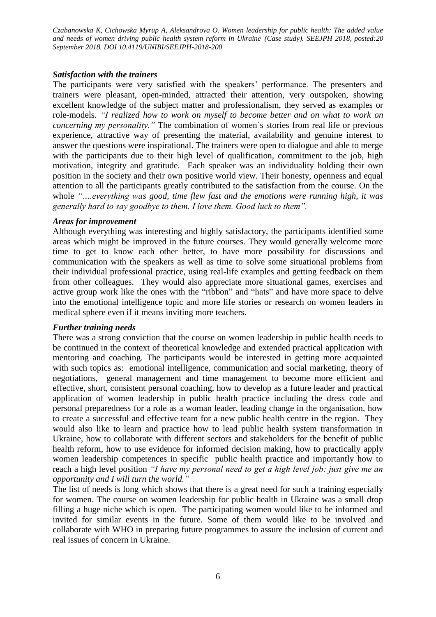### *Satisfaction with the trainers*

The participants were very satisfied with the speakers' performance. The presenters and trainers were pleasant, open-minded, attracted their attention, very outspoken, showing excellent knowledge of the subject matter and professionalism, they served as examples or role-models. *"I realized how to work on myself to become better and on what to work on concerning my personality."* The combination of women`s stories from real life or previous experience, attractive way of presenting the material, availability and genuine interest to answer the questions were inspirational. The trainers were open to dialogue and able to merge with the participants due to their high level of qualification, commitment to the job, high motivation, integrity and gratitude. Each speaker was an individuality holding their own position in the society and their own positive world view. Their honesty, openness and equal attention to all the participants greatly contributed to the satisfaction from the course. On the whole *"….everything was good, time flew fast and the emotions were running high, it was generally hard to say goodbye to them. I love them. Good luck to them".*

### *Areas for improvement*

Although everything was interesting and highly satisfactory, the participants identified some areas which might be improved in the future courses. They would generally welcome more time to get to know each other better, to have more possibility for discussions and communication with the speakers as well as time to solve some situational problems from their individual professional practice, using real-life examples and getting feedback on them from other colleagues. They would also appreciate more situational games, exercises and active group work like the ones with the "ribbon" and "hats" and have more space to delve into the emotional intelligence topic and more life stories or research on women leaders in medical sphere even if it means inviting more teachers.

# *Further training needs*

There was a strong conviction that the course on women leadership in public health needs to be continued in the context of theoretical knowledge and extended practical application with mentoring and coaching. The participants would be interested in getting more acquainted with such topics as: emotional intelligence, communication and social marketing, theory of negotiations, general management and time management to become more efficient and effective, short, consistent personal coaching, how to develop as a future leader and practical application of women leadership in public health practice including the dress code and personal preparedness for a role as a woman leader, leading change in the organisation, how to create a successful and effective team for a new public health centre in the region. They would also like to learn and practice how to lead public health system transformation in Ukraine, how to collaborate with different sectors and stakeholders for the benefit of public health reform, how to use evidence for informed decision making, how to practically apply women leadership competences in specific public health practice and importantly how to reach a high level position *"I have my personal need to get a high level job: just give me an opportunity and I will turn the world."*

The list of needs is long which shows that there is a great need for such a training especially for women. The course on women leadership for public health in Ukraine was a small drop filling a huge niche which is open. The participating women would like to be informed and invited for similar events in the future. Some of them would like to be involved and collaborate with WHO in preparing future programmes to assure the inclusion of current and real issues of concern in Ukraine.